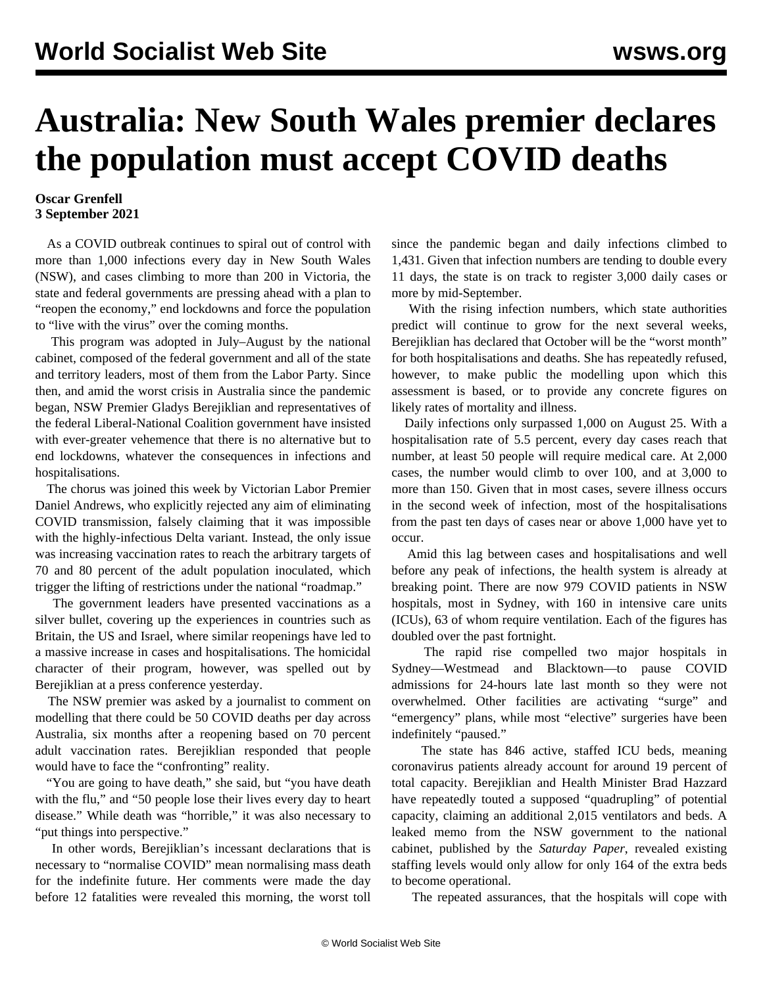## **Australia: New South Wales premier declares the population must accept COVID deaths**

## **Oscar Grenfell 3 September 2021**

 As a COVID outbreak continues to spiral out of control with more than 1,000 infections every day in New South Wales (NSW), and cases climbing to more than 200 in Victoria, the state and federal governments are pressing ahead with a plan to "reopen the economy," end lockdowns and force the population to "live with the virus" over the coming months.

 This program was adopted in July–August by the national cabinet, composed of the federal government and all of the state and territory leaders, most of them from the Labor Party. Since then, and amid the worst crisis in Australia since the pandemic began, NSW Premier Gladys Berejiklian and representatives of the federal Liberal-National Coalition government have insisted with ever-greater vehemence that there is no alternative but to end lockdowns, whatever the consequences in infections and hospitalisations.

 The chorus was joined this week by Victorian Labor Premier Daniel Andrews, who explicitly rejected any aim of eliminating COVID transmission, falsely claiming that it was impossible with the highly-infectious Delta variant. Instead, the only issue was increasing vaccination rates to reach the arbitrary targets of 70 and 80 percent of the adult population inoculated, which trigger the lifting of restrictions under the national "roadmap."

 The government leaders have presented vaccinations as a silver bullet, covering up the experiences in countries such as Britain, the US and Israel, where similar reopenings have led to a massive increase in cases and hospitalisations. The homicidal character of their program, however, was spelled out by Berejiklian at a press conference yesterday.

 The NSW premier was asked by a journalist to comment on modelling that there could be 50 COVID deaths per day across Australia, six months after a reopening based on 70 percent adult vaccination rates. Berejiklian responded that people would have to face the "confronting" reality.

"You are going to have death," she said, but "you have death with the flu," and "50 people lose their lives every day to heart disease." While death was "horrible," it was also necessary to "put things into perspective."

 In other words, Berejiklian's incessant declarations that is necessary to "normalise COVID" mean normalising mass death for the indefinite future. Her comments were made the day before 12 fatalities were revealed this morning, the worst toll since the pandemic began and daily infections climbed to 1,431. Given that infection numbers are tending to double every 11 days, the state is on track to register 3,000 daily cases or more by mid-September.

 With the rising infection numbers, which state authorities predict will continue to grow for the next several weeks, Berejiklian has declared that October will be the "worst month" for both hospitalisations and deaths. She has repeatedly refused, however, to make public the modelling upon which this assessment is based, or to provide any concrete figures on likely rates of mortality and illness.

 Daily infections only surpassed 1,000 on August 25. With a hospitalisation rate of 5.5 percent, every day cases reach that number, at least 50 people will require medical care. At 2,000 cases, the number would climb to over 100, and at 3,000 to more than 150. Given that in most cases, severe illness occurs in the second week of infection, most of the hospitalisations from the past ten days of cases near or above 1,000 have yet to occur.

 Amid this lag between cases and hospitalisations and well before any peak of infections, the health system is already at breaking point. There are now 979 COVID patients in NSW hospitals, most in Sydney, with 160 in intensive care units (ICUs), 63 of whom require ventilation. Each of the figures has doubled over the past fortnight.

 The rapid rise compelled two major hospitals in Sydney—Westmead and Blacktown—to pause COVID admissions for 24-hours late last month so they were not overwhelmed. Other facilities are activating "surge" and "emergency" plans, while most "elective" surgeries have been indefinitely "paused."

 The state has 846 active, staffed ICU beds, meaning coronavirus patients already account for around 19 percent of total capacity. Berejiklian and Health Minister Brad Hazzard have repeatedly touted a supposed "quadrupling" of potential capacity, claiming an additional 2,015 ventilators and beds. A leaked memo from the NSW government to the national cabinet, published by the *Saturday Paper*, revealed existing staffing levels would only allow for only 164 of the extra beds to become operational.

The repeated assurances, that the hospitals will cope with